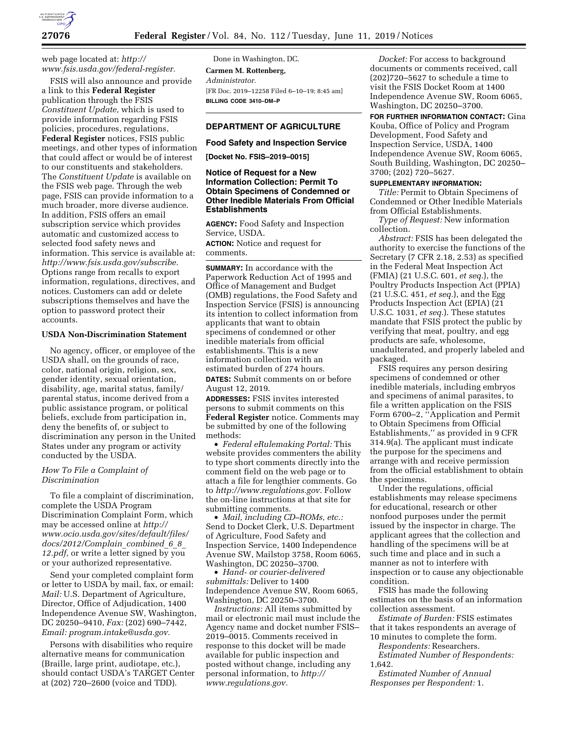

web page located at: *[http://](http://www.fsis.usda.gov/federal-register) [www.fsis.usda.gov/federal-register.](http://www.fsis.usda.gov/federal-register)* 

FSIS will also announce and provide a link to this **Federal Register**  publication through the FSIS *Constituent Update,* which is used to provide information regarding FSIS policies, procedures, regulations, **Federal Register** notices, FSIS public meetings, and other types of information that could affect or would be of interest to our constituents and stakeholders. The *Constituent Update* is available on the FSIS web page. Through the web page, FSIS can provide information to a much broader, more diverse audience. In addition, FSIS offers an email subscription service which provides automatic and customized access to selected food safety news and information. This service is available at: *[http://www.fsis.usda.gov/subscribe.](http://www.fsis.usda.gov/subscribe)*  Options range from recalls to export information, regulations, directives, and notices. Customers can add or delete subscriptions themselves and have the option to password protect their accounts.

## **USDA Non-Discrimination Statement**

No agency, officer, or employee of the USDA shall, on the grounds of race, color, national origin, religion, sex, gender identity, sexual orientation, disability, age, marital status, family/ parental status, income derived from a public assistance program, or political beliefs, exclude from participation in, deny the benefits of, or subject to discrimination any person in the United States under any program or activity conducted by the USDA.

## *How To File a Complaint of Discrimination*

To file a complaint of discrimination, complete the USDA Program Discrimination Complaint Form, which may be accessed online at *[http://](http://www.ocio.usda.gov/sites/default/files/docs/2012/Complain_combined_6_8_12.pdf) [www.ocio.usda.gov/sites/default/files/](http://www.ocio.usda.gov/sites/default/files/docs/2012/Complain_combined_6_8_12.pdf) [docs/2012/Complain](http://www.ocio.usda.gov/sites/default/files/docs/2012/Complain_combined_6_8_12.pdf)*\_*combined*\_*6*\_*8*\_ *[12.pdf,](http://www.ocio.usda.gov/sites/default/files/docs/2012/Complain_combined_6_8_12.pdf)* or write a letter signed by you or your authorized representative.

Send your completed complaint form or letter to USDA by mail, fax, or email: *Mail:* U.S. Department of Agriculture, Director, Office of Adjudication, 1400 Independence Avenue SW, Washington, DC 20250–9410, *Fax:* (202) 690–7442, *Email: [program.intake@usda.gov.](mailto:program.intake@usda.gov)* 

Persons with disabilities who require alternative means for communication (Braille, large print, audiotape, etc.), should contact USDA's TARGET Center at (202) 720–2600 (voice and TDD).

Done in Washington, DC. **Carmen M. Rottenberg,**  *Administrator.*  [FR Doc. 2019–12258 Filed 6–10–19; 8:45 am] **BILLING CODE 3410–DM–P** 

# **DEPARTMENT OF AGRICULTURE**

#### **Food Safety and Inspection Service**

**[Docket No. FSIS–2019–0015]** 

## **Notice of Request for a New Information Collection: Permit To Obtain Specimens of Condemned or Other Inedible Materials From Official Establishments**

**AGENCY:** Food Safety and Inspection Service, USDA. **ACTION:** Notice and request for comments.

**SUMMARY:** In accordance with the Paperwork Reduction Act of 1995 and Office of Management and Budget (OMB) regulations, the Food Safety and Inspection Service (FSIS) is announcing its intention to collect information from applicants that want to obtain specimens of condemned or other inedible materials from official establishments. This is a new information collection with an estimated burden of 274 hours.

**DATES:** Submit comments on or before August 12, 2019.

**ADDRESSES:** FSIS invites interested persons to submit comments on this **Federal Register** notice. Comments may be submitted by one of the following methods:

• *Federal eRulemaking Portal:* This website provides commenters the ability to type short comments directly into the comment field on the web page or to attach a file for lengthier comments. Go to *[http://www.regulations.gov.](http://www.regulations.gov)* Follow the on-line instructions at that site for submitting comments.

• *Mail, including CD–ROMs, etc.:*  Send to Docket Clerk, U.S. Department of Agriculture, Food Safety and Inspection Service, 1400 Independence Avenue SW, Mailstop 3758, Room 6065, Washington, DC 20250–3700.

• *Hand- or courier-delivered submittals:* Deliver to 1400 Independence Avenue SW, Room 6065, Washington, DC 20250–3700.

*Instructions:* All items submitted by mail or electronic mail must include the Agency name and docket number FSIS– 2019–0015. Comments received in response to this docket will be made available for public inspection and posted without change, including any personal information, to *[http://](http://www.regulations.gov) [www.regulations.gov.](http://www.regulations.gov)* 

*Docket:* For access to background documents or comments received, call (202)720–5627 to schedule a time to visit the FSIS Docket Room at 1400 Independence Avenue SW, Room 6065, Washington, DC 20250–3700.

**FOR FURTHER INFORMATION CONTACT:** Gina Kouba, Office of Policy and Program Development, Food Safety and Inspection Service, USDA, 1400 Independence Avenue SW, Room 6065, South Building, Washington, DC 20250– 3700; (202) 720–5627.

## **SUPPLEMENTARY INFORMATION:**

*Title:* Permit to Obtain Specimens of Condemned or Other Inedible Materials from Official Establishments.

*Type of Request:* New information collection.

*Abstract:* FSIS has been delegated the authority to exercise the functions of the Secretary (7 CFR 2.18, 2.53) as specified in the Federal Meat Inspection Act (FMIA) (21 U.S.C. 601, *et seq.*), the Poultry Products Inspection Act (PPIA) (21 U.S.C. 451, *et seq.*), and the Egg Products Inspection Act (EPIA) (21 U.S.C. 1031, *et seq.*). These statutes mandate that FSIS protect the public by verifying that meat, poultry, and egg products are safe, wholesome, unadulterated, and properly labeled and packaged.

FSIS requires any person desiring specimens of condemned or other inedible materials, including embryos and specimens of animal parasites, to file a written application on the FSIS Form 6700–2, ''Application and Permit to Obtain Specimens from Official Establishments,'' as provided in 9 CFR 314.9(a). The applicant must indicate the purpose for the specimens and arrange with and receive permission from the official establishment to obtain the specimens.

Under the regulations, official establishments may release specimens for educational, research or other nonfood purposes under the permit issued by the inspector in charge. The applicant agrees that the collection and handling of the specimens will be at such time and place and in such a manner as not to interfere with inspection or to cause any objectionable condition.

FSIS has made the following estimates on the basis of an information collection assessment.

*Estimate of Burden:* FSIS estimates that it takes respondents an average of 10 minutes to complete the form.

*Respondents:* Researchers. *Estimated Number of Respondents:* 

1,642.

*Estimated Number of Annual Responses per Respondent:* 1.